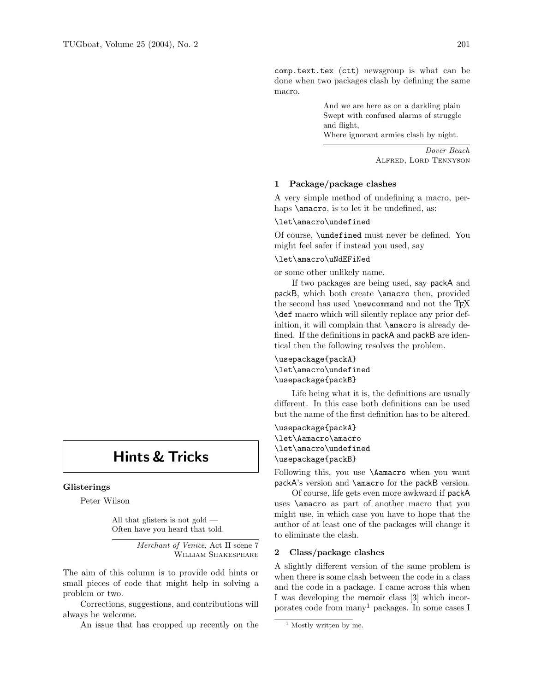# Hints & Tricks

### Glisterings

Peter Wilson

All that glisters is not gold — Often have you heard that told.

> Merchant of Venice, Act II scene 7 William Shakespeare

The aim of this column is to provide odd hints or small pieces of code that might help in solving a problem or two.

Corrections, suggestions, and contributions will always be welcome.

An issue that has cropped up recently on the

comp.text.tex (ctt) newsgroup is what can be done when two packages clash by defining the same macro.

> And we are here as on a darkling plain Swept with confused alarms of struggle and flight, Where ignorant armies clash by night.

> > Dover Beach Alfred, Lord Tennyson

### 1 Package/package clashes

A very simple method of undefining a macro, perhaps **\amacro**, is to let it be undefined, as:

## \let\amacro\undefined

Of course, \undefined must never be defined. You might feel safer if instead you used, say

## \let\amacro\uNdEFiNed

or some other unlikely name.

If two packages are being used, say packA and packB, which both create \amacro then, provided the second has used  $\newcommand{\solAvar}{}$  and not the TFX \def macro which will silently replace any prior definition, it will complain that **\amacro** is already defined. If the definitions in packA and packB are identical then the following resolves the problem.

# \usepackage{packA} \let\amacro\undefined \usepackage{packB}

Life being what it is, the definitions are usually different. In this case both definitions can be used but the name of the first definition has to be altered.

\usepackage{packA} \let\Aamacro\amacro \let\amacro\undefined \usepackage{packB}

Following this, you use \Aamacro when you want packA's version and \amacro for the packB version.

Of course, life gets even more awkward if packA uses \amacro as part of another macro that you might use, in which case you have to hope that the author of at least one of the packages will change it to eliminate the clash.

## 2 Class/package clashes

A slightly different version of the same problem is when there is some clash between the code in a class and the code in a package. I came across this when I was developing the memoir class [3] which incorporates code from  $\text{many}^1$  packages. In some cases I

<sup>&</sup>lt;sup>1</sup> Mostly written by me.